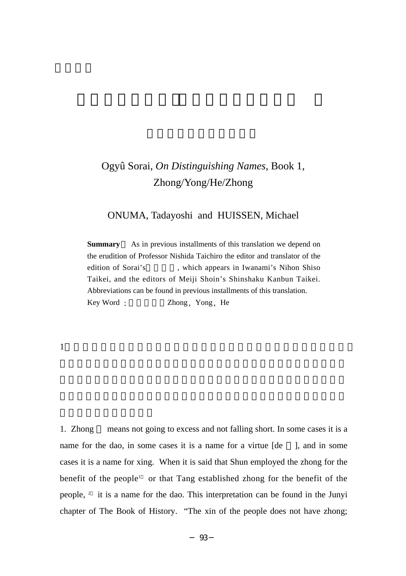# Ogyû Sorai, *On Distinguishing Names*, Book 1, Zhong/Yong/He/Zhong

# ONUMA, Tadayoshi and HUISSEN, Michael

**Summary** As in previous installments of this translation we depend on the erudition of Professor Nishida Taichiro the editor and translator of the edition of Sorai's which appears in Iwanami's Nihon Shiso Taikei, and the editors of Meiji Shoin's Shinshaku Kanbun Taikei. Abbreviations can be found in previous installments of this translation. Key Word : Zhong Yong He

## 1. example,  $\frac{1}{\alpha}$

1. Zhong means not going to excess and not falling short. In some cases it is a name for the dao, in some cases it is a name for a virtue [de ], and in some cases it is a name for xing. When it is said that Shun employed the zhong for the benefit of the people<sup>1</sup> or that Tang established zhong for the benefit of the people, 2 it is a name for the dao. This interpretation can be found in the Junyi chapter of The Book of History. "The xin of the people does not have zhong;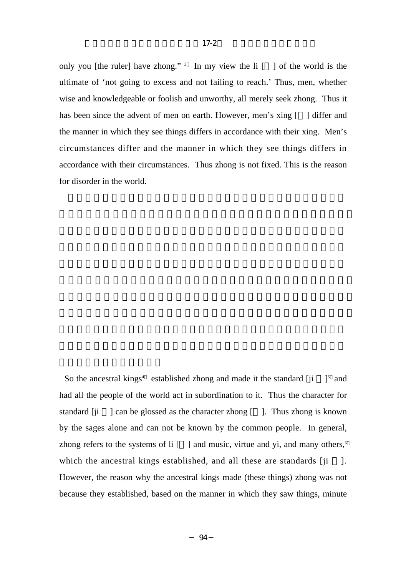only you [the ruler] have zhong." 3 In my view the li  $\lceil \cdot \rceil$  of the world is the ultimate of 'not going to excess and not failing to reach.' Thus, men, whether wise and knowledgeable or foolish and unworthy, all merely seek zhong. Thus it has been since the advent of men on earth. However, men's xing [ ] differ and the manner in which they see things differs in accordance with their xing. Men's circumstances differ and the manner in which they see things differs in accordance with their circumstances. Thus zhong is not fixed. This is the reason for disorder in the world.

So the ancestral kings<sup>4</sup> established zhong and made it the standard  $[ji]$ <sup>5</sup> and had all the people of the world act in subordination to it. Thus the character for standard [ji ] can be glossed as the character zhong [ ]. Thus zhong is known by the sages alone and can not be known by the common people. In general, zhong refers to the systems of  $\text{li} \left[ \begin{array}{c} \begin{array}{c} \end{array} \right]$  and music, virtue and yi, and many others,<sup>6</sup> which the ancestral kings established, and all these are standards  $[ii \quad]$ . However, the reason why the ancestral kings made (these things) zhong was not because they established, based on the manner in which they saw things, minute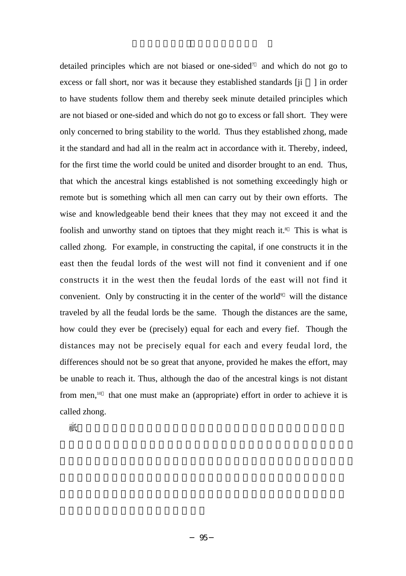detailed principles which are not biased or one-sided7 and which do not go to excess or fall short, nor was it because they established standards  $[ii \quad]$  in order to have students follow them and thereby seek minute detailed principles which are not biased or one-sided and which do not go to excess or fall short. They were only concerned to bring stability to the world. Thus they established zhong, made it the standard and had all in the realm act in accordance with it. Thereby, indeed, for the first time the world could be united and disorder brought to an end. Thus, that which the ancestral kings established is not something exceedingly high or remote but is something which all men can carry out by their own efforts. The wise and knowledgeable bend their knees that they may not exceed it and the foolish and unworthy stand on tiptoes that they might reach it.<sup>8</sup> This is what is called zhong. For example, in constructing the capital, if one constructs it in the east then the feudal lords of the west will not find it convenient and if one constructs it in the west then the feudal lords of the east will not find it convenient. Only by constructing it in the center of the world $\delta$  will the distance traveled by all the feudal lords be the same. Though the distances are the same, how could they ever be (precisely) equal for each and every fief. Though the distances may not be precisely equal for each and every feudal lord, the differences should not be so great that anyone, provided he makes the effort, may be unable to reach it. Thus, although the dao of the ancestral kings is not distant from men,<sup>10</sup> that one must make an (appropriate) effort in order to achieve it is called zhong.

夫任之欲。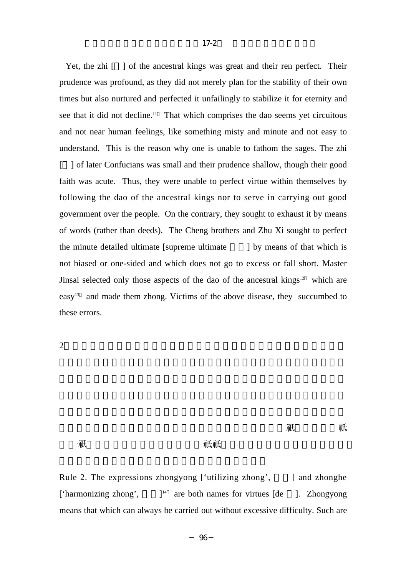Yet, the zhi  $\lceil \cdot \rceil$  of the ancestral kings was great and their ren perfect. Their prudence was profound, as they did not merely plan for the stability of their own times but also nurtured and perfected it unfailingly to stabilize it for eternity and see that it did not decline.<sup>11</sup> That which comprises the dao seems yet circuitous and not near human feelings, like something misty and minute and not easy to understand. This is the reason why one is unable to fathom the sages. The zhi [ ] of later Confucians was small and their prudence shallow, though their good faith was acute. Thus, they were unable to perfect virtue within themselves by following the dao of the ancestral kings nor to serve in carrying out good government over the people. On the contrary, they sought to exhaust it by means of words (rather than deeds). The Cheng brothers and Zhu Xi sought to perfect the minute detailed ultimate  $\lceil \text{supreme ultimate} \rceil$  by means of that which is not biased or one-sided and which does not go to excess or fall short. Master Jinsai selected only those aspects of the dao of the ancestral kings<sup>12</sup> which are easy<sup>13</sup> and made them zhong. Victims of the above disease, they succumbed to these errors.

 $2 \nightharpoonup$ 

俗流傳。雖非其本義。亦可以見古言已。如庸字。樂徳亦有�庸。用之神�

### 者爲�。用之民者爲庸。書所謂庸庸��亦然。民功曰庸。豈不易之義哉。

Rule 2. The expressions zhongyong  $[$  'utilizing zhong',  $\qquad$  and zhonghe ['harmonizing zhong',  $\frac{1}{4}$  are both names for virtues [de ]. Zhongyong means that which can always be carried out without excessive difficulty. Such are

─ 96 ─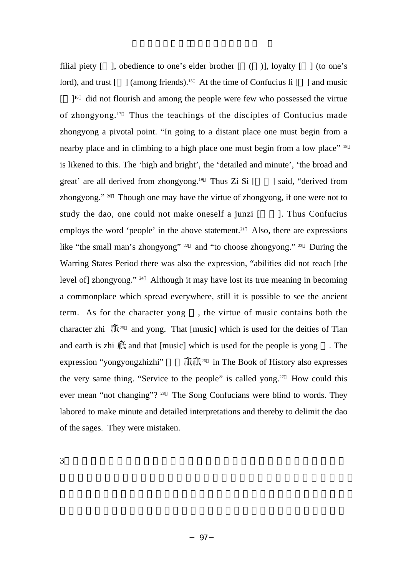filial piety  $\lceil \quad \rceil$ , obedience to one's elder brother  $\lceil \quad \rceil$  (b), loyalty  $\lceil \quad \rceil$  (to one's lord), and trust  $\lceil \ \cdot \rceil$  (among friends).<sup>15</sup> At the time of Confucius li  $\lceil \ \cdot \rceil$  and music  $\lceil$   $\rceil$ <sup>16</sup> did not flourish and among the people were few who possessed the virtue of zhongyong.<sup>17</sup> Thus the teachings of the disciples of Confucius made zhongyong a pivotal point. "In going to a distant place one must begin from a nearby place and in climbing to a high place one must begin from a low place" <sup>18</sup> is likened to this. The 'high and bright', the 'detailed and minute', 'the broad and great' are all derived from zhongyong.<sup>19</sup> Thus Zi Si  $\lceil \cdot \cdot \rceil$  said, "derived from zhongyong." <sup>20</sup> Though one may have the virtue of zhongyong, if one were not to study the dao, one could not make oneself a junzi  $\lceil$  ]. Thus Confucius employs the word 'people' in the above statement.<sup>21</sup> Also, there are expressions like "the small man's zhongyong" <sup>22</sup> and "to choose zhongyong." <sup>23</sup> During the Warring States Period there was also the expression, "abilities did not reach [the level of] zhongyong." 24 Although it may have lost its true meaning in becoming a commonplace which spread everywhere, still it is possible to see the ancient term. As for the character yong , the virtue of music contains both the character zhi  $\mathbb{H}^{25}$  and yong. That [music] which is used for the deities of Tian and earth is zhi  $\overline{m}$  and that [music] which is used for the people is yong . The expression "yongyongzhizhi"  $\mathbb{R}$   $\mathbb{R}^{26}$  in The Book of History also expresses the very same thing. "Service to the people" is called yong.<sup>27</sup> How could this ever mean "not changing"? <sup>28</sup> The Song Confucians were blind to words. They labored to make minute and detailed interpretations and thereby to delimit the dao of the sages. They were mistaken.

 $3\text{ }$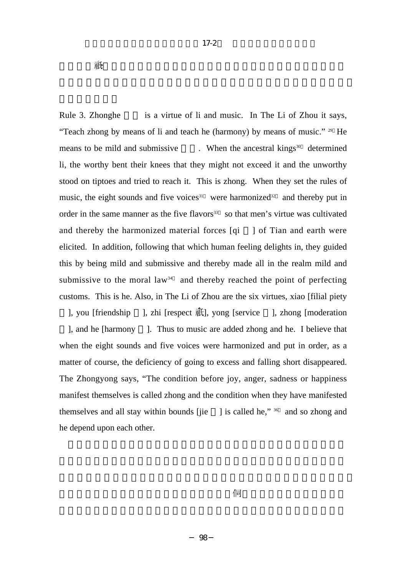Rule 3. Zhonghe is a virtue of li and music. In The Li of Zhou it says, "Teach zhong by means of li and teach he (harmony) by means of music." 29 He means to be mild and submissive  $\ldots$  When the ancestral kings<sup>30</sup> determined li, the worthy bent their knees that they might not exceed it and the unworthy stood on tiptoes and tried to reach it. This is zhong. When they set the rules of music, the eight sounds and five voices<sup>31</sup> were harmonized<sup>32</sup> and thereby put in order in the same manner as the five flavors $33$  so that men's virtue was cultivated and thereby the harmonized material forces [qi ] of Tian and earth were elicited. In addition, following that which human feeling delights in, they guided this by being mild and submissive and thereby made all in the realm mild and submissive to the moral law<sup>34</sup> and thereby reached the point of perfecting customs. This is he. Also, in The Li of Zhou are the six virtues, xiao [filial piety  $\lambda$ , you [friendship ], zhi [respect  $\mathbb{H}$ ], yong [service ], zhong [moderation] ], and he [harmony ]. Thus to music are added zhong and he. I believe that when the eight sounds and five voices were harmonized and put in order, as a matter of course, the deficiency of going to excess and falling short disappeared. The Zhongyong says, "The condition before joy, anger, sadness or happiness manifest themselves is called zhong and the condition when they have manifested themselves and all stay within bounds [jie ] is called he,"  $36$  and so zhong and he depend upon each other.

 $17-2$ 

,是也。<br>有一種之未發者。

─ 98 ─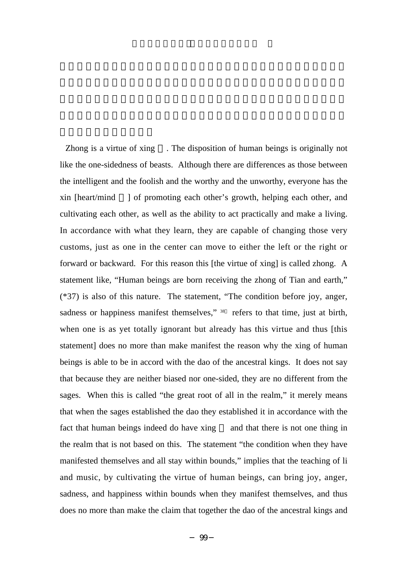Zhong is a virtue of xing . The disposition of human beings is originally not like the one-sidedness of beasts. Although there are differences as those between the intelligent and the foolish and the worthy and the unworthy, everyone has the xin [heart/mind ] of promoting each other's growth, helping each other, and cultivating each other, as well as the ability to act practically and make a living. In accordance with what they learn, they are capable of changing those very customs, just as one in the center can move to either the left or the right or forward or backward. For this reason this [the virtue of xing] is called zhong. A statement like, "Human beings are born receiving the zhong of Tian and earth," (\*37) is also of this nature. The statement, "The condition before joy, anger, sadness or happiness manifest themselves," <sup>38</sup> refers to that time, just at birth, when one is as yet totally ignorant but already has this virtue and thus [this statement] does no more than make manifest the reason why the xing of human beings is able to be in accord with the dao of the ancestral kings. It does not say that because they are neither biased nor one-sided, they are no different from the sages. When this is called "the great root of all in the realm," it merely means that when the sages established the dao they established it in accordance with the fact that human beings indeed do have xing and that there is not one thing in the realm that is not based on this. The statement "the condition when they have manifested themselves and all stay within bounds," implies that the teaching of li and music, by cultivating the virtue of human beings, can bring joy, anger, sadness, and happiness within bounds when they manifest themselves, and thus does no more than make the claim that together the dao of the ancestral kings and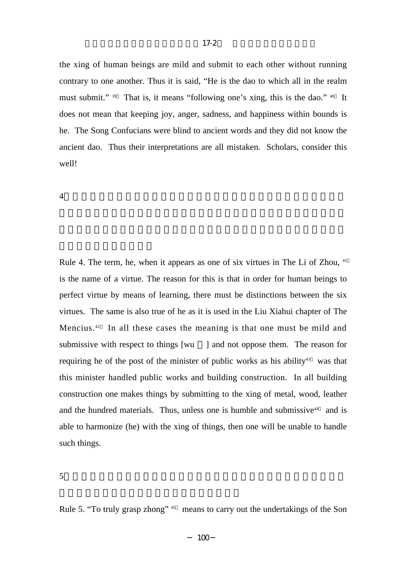the xing of human beings are mild and submit to each other without running contrary to one another. Thus it is said, "He is the dao to which all in the realm must submit." <sup>39</sup> That is, it means "following one's xing, this is the dao." <sup>40</sup> It does not mean that keeping joy, anger, sadness, and happiness within bounds is he. The Song Confucians were blind to ancient words and they did not know the ancient dao. Thus their interpretations are all mistaken. Scholars, consider this well!

 $4\,$ 

Rule 4. The term, he, when it appears as one of six virtues in The Li of Zhou,  $41$ is the name of a virtue. The reason for this is that in order for human beings to perfect virtue by means of learning, there must be distinctions between the six virtues. The same is also true of he as it is used in the Liu Xiahui chapter of The Mencius.<sup>42</sup> In all these cases the meaning is that one must be mild and submissive with respect to things [wu ] and not oppose them. The reason for requiring he of the post of the minister of public works as his ability<sup>43</sup> was that this minister handled public works and building construction. In all building construction one makes things by submitting to the xing of metal, wood, leather and the hundred materials. Thus, unless one is humble and submissive $44$  and is able to harmonize (he) with the xing of things, then one will be unable to handle such things.

 $5\,$ 

Rule 5. "To truly grasp zhong" <sup>45</sup> means to carry out the undertakings of the Son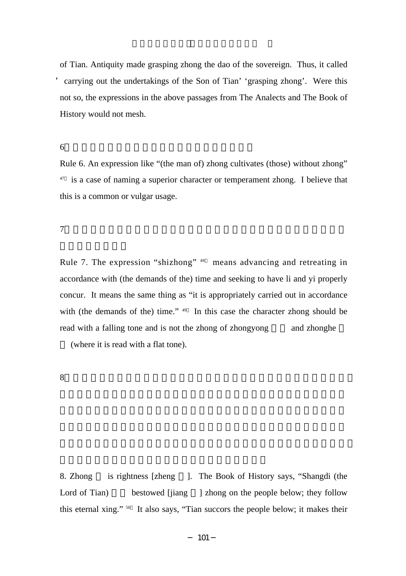of Tian. Antiquity made grasping zhong the dao of the sovereign. Thus, it called 'carrying out the undertakings of the Son of Tian' 'grasping zhong'. Were this not so, the expressions in the above passages from The Analects and The Book of History would not mesh.

 $6\,$ 

Rule 6. An expression like "(the man of) zhong cultivates (those) without zhong"  $47$  is a case of naming a superior character or temperament zhong. I believe that this is a common or vulgar usage.

 $7$ 

Rule 7. The expression "shizhong" <sup>48</sup> means advancing and retreating in accordance with (the demands of the) time and seeking to have li and yi properly concur. It means the same thing as "it is appropriately carried out in accordance with (the demands of the) time."  $49$  In this case the character zhong should be read with a falling tone and is not the zhong of zhongyong and zhonghe

(where it is read with a flat tone).

 $8$ 

8. Zhong is rightness [zheng ]. The Book of History says, "Shangdi (the Lord of Tian) bestowed [jiang ] zhong on the people below; they follow this eternal xing." <sup>50</sup> It also says, "Tian succors the people below; it makes their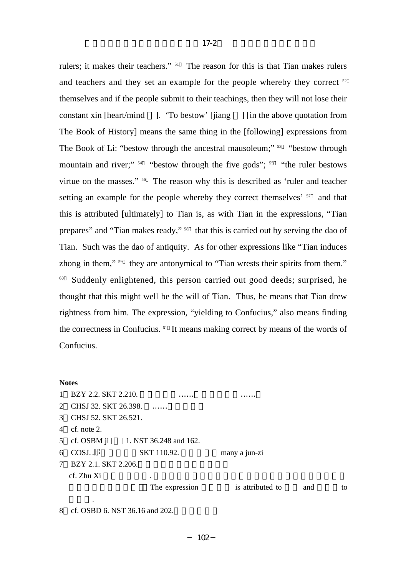rulers; it makes their teachers." <sup>51</sup> The reason for this is that Tian makes rulers and teachers and they set an example for the people whereby they correct  $52$ themselves and if the people submit to their teachings, then they will not lose their constant xin [heart/mind ]. 'To bestow' [jiang ] [in the above quotation from The Book of History] means the same thing in the [following] expressions from The Book of Li: "bestow through the ancestral mausoleum;"  $53$  "bestow through mountain and river;"  $54$  "bestow through the five gods";  $55$  "the ruler bestows virtue on the masses." <sup>56</sup> The reason why this is described as 'ruler and teacher setting an example for the people whereby they correct themselves' <sup>57</sup> and that this is attributed [ultimately] to Tian is, as with Tian in the expressions, "Tian prepares" and "Tian makes ready," <sup>58</sup> that this is carried out by serving the dao of Tian. Such was the dao of antiquity. As for other expressions like "Tian induces zhong in them," <sup>59</sup> they are antonymical to "Tian wrests their spirits from them." <sup>60</sup> Suddenly enlightened, this person carried out good deeds; surprised, he thought that this might well be the will of Tian. Thus, he means that Tian drew rightness from him. The expression, "yielding to Confucius," also means finding the correctness in Confucius. 61 It means making correct by means of the words of Confucius.

### **Notes**

| $\mathbf{1}$ | BZY 2.2. SKT 2.210.                      |                |                  |     |    |
|--------------|------------------------------------------|----------------|------------------|-----|----|
|              | 2 CHSJ 32. SKT 26.398.                   |                |                  |     |    |
|              | 3 CHSJ 52. SKT 26.521.                   |                |                  |     |    |
|              | 4 cf. note 2.                            |                |                  |     |    |
|              | 5 cf. OSBM ji [ ] 1. NST 36.248 and 162. |                |                  |     |    |
|              | 6 COSJ. $\mathbb{H}$                     | SKT 110.92.    | many a jun-zi    |     |    |
| $7^{\circ}$  | BZY 2.1. SKT 2.206.                      |                |                  |     |    |
|              | cf. Zhu Xi                               | ٠              |                  |     |    |
|              |                                          | The expression | is attributed to | and | to |
|              | ٠                                        |                |                  |     |    |

8 cf. OSBD 6. NST 36.16 and 202.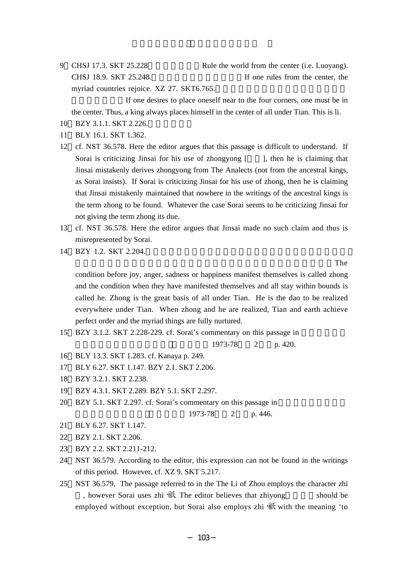9 CHSJ 17.3. SKT 25.228 Rule the world from the center (i.e. Luoyang). CHSJ 18.9. SKT  $25.248$ . If one rules from the center, the myriad countries rejoice. XZ 27. SKT6.765.

If one desires to place oneself near to the four corners, one must be in the center. Thus, a king always places himself in the center of all under Tian. This is li.

- 10 BZY 3.1.1. SKT 2.226.
- 11 BLY 16.1. SKT 1.362.
- 12 cf. NST 36.578. Here the editor argues that this passage is difficult to understand. If Sorai is criticizing Jinsai for his use of zhongyong  $\begin{bmatrix} \cdot & \cdot \\ \cdot & \cdot \end{bmatrix}$ , then he is claiming that Jinsai mistakenly derives zhongyong from The Analects (not from the ancestral kings, as Sorai insists). If Sorai is criticizing Jinsai for his use of zhong, then he is claiming that Jinsai mistakenly maintained that nowhere in the writings of the ancestral kings is the term zhong to be found. Whatever the case Sorai seems to be criticizing Jinsai for not giving the term zhong its due.
- 13 cf. NST 36.578. Here the editor argues that Jinsai made no such claim and thus is misrepresented by Sorai.
- 14 BZY 1.2. SKT 2.204.

 $\mathbf{Ch}$ 

condition before joy, anger, sadness or happiness manifest themselves is called zhong and the condition when they have manifested themselves and all stay within bounds is called he. Zhong is the great basis of all under Tian. He is the dao to be realized everywhere under Tian. When zhong and he are realized, Tian and earth achieve perfect order and the myriad things are fully nurtured.

15 BZY 3.1.2. SKT 2.228-229. cf. Sorai's commentary on this passage in

 $1973-78$  2 p. 420.

- 16 BLY 13.3. SKT 1.283. cf. Kanaya p. 249.
- 17 BLY 6.27. SKT 1.147. BZY 2.1. SKT 2.206.
- 18 BZY 3.2.1. SKT 2.238.
- 19 BZY 4.3.1. SKT 2.289. BZY 5.1. SKT 2.297.
- 20 BZY 5.1. SKT 2.297. cf. Sorai's commentary on this passage in

1973-78 2 p. 446.

- 21 BLY 6.27. SKT 1.147.
- 22 BZY 2.1. SKT 2.206.
- 23 BZY 2.2. SKT 2.211-212.
- 24 NST 36.579. According to the editor, this expression can not be found in the writings of this period. However, cf. XZ 9. SKT 5.217.
- 25 NST 36.579. The passage referred to in the The Li of Zhou employs the character zhi , however Sorai uses zhi  $\overline{\text{m}}$ . The editor believes that zhiyong should be employed without exception, but Sorai also employs zhi  $\mathbb{R}$  with the meaning 'to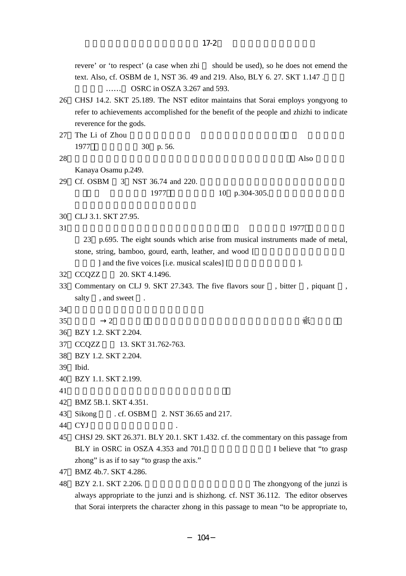reverence for the gods. 27 The Li of Zhou 1977 30 p. 56.  $28$  Also Kanaya Osamu p.249. 29 Cf. OSBM 3 NST 36.74 and 220. 1977 10 p.304-305. 30 CLJ 3.1. SKT 27.95.  $31\,$  1977 23 p.695. The eight sounds which arise from musical instruments made of metal, stone, string, bamboo, gourd, earth, leather, and wood [ | and the five voices [i.e. musical scales] [Section 1. 32 CCQZZ 20. SKT 4.1496. 33 Commentary on CLJ 9. SKT 27.343. The five flavors sour, bitter, piquant salty , and sweet  $34$  $35$  →2 →2 36 BZY 1.2. SKT 2.204. 37 CCOZZ 13. SKT 31.762-763. 38 BZY 1.2. SKT 2.204. 39 Ibid. 40 BZY 1.1. SKT 2.199.  $41$ 42 BMZ 5B.1. SKT 4.351. 43 Sikong cf. OSBM 2. NST 36.65 and 217. 44 CYJ 45 CHSJ 29. SKT 26.371. BLY 20.1. SKT 1.432. cf. the commentary on this passage from BLY in OSRC in OSZA 4.353 and 701. I believe that "to grasp zhong" is as if to say "to grasp the axis." 47 BMZ 4b.7. SKT 4.286. 48 BZY 2.1. SKT 2.206. The zhongyong of the junzi is always appropriate to the junzi and is shizhong. cf. NST 36.112. The editor observes that Sorai interprets the character zhong in this passage to mean "to be appropriate to,

 $17-2$ 

revere' or 'to respect' (a case when zhi should be used), so he does not emend the text. Also, cf. OSBM de 1, NST 36. 49 and 219. Also, BLY 6. 27. SKT 1.147.

26 CHSJ 14.2. SKT 25.189. The NST editor maintains that Sorai employs yongyong to refer to achievements accomplished for the benefit of the people and zhizhi to indicate

 $\ldots$  OSRC in OSZA 3.267 and 593.